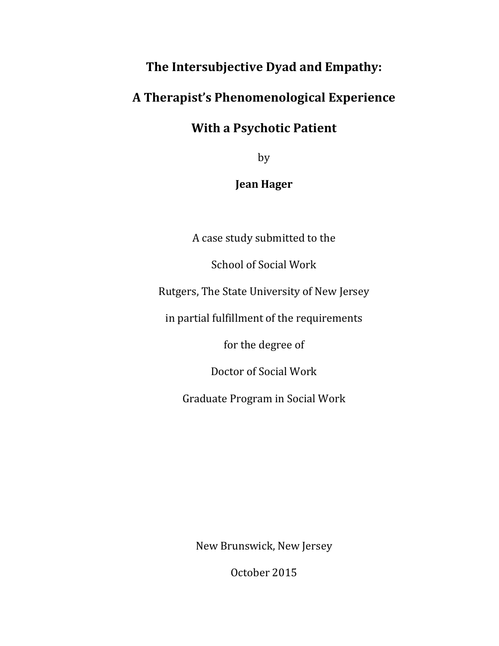# **The Intersubjective Dyad and Empathy:**

# **A Therapist's Phenomenological Experience**

# **With a Psychotic Patient**

by

## **Jean Hager**

A case study submitted to the

School of Social Work

Rutgers, The State University of New Jersey

in partial fulfillment of the requirements

for the degree of

Doctor of Social Work

Graduate Program in Social Work

New Brunswick, New Jersey

October 2015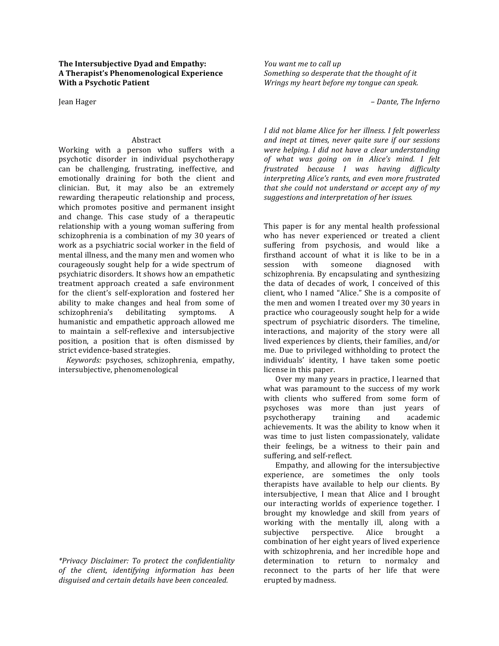#### The Intersubjective Dyad and Empathy: **A Therapist's Phenomenological Experience With a Psychotic Patient**

Jean Hager

#### Abstract

Working with a person who suffers with a psychotic disorder in individual psychotherapy can be challenging, frustrating, ineffective, and emotionally draining for both the client and clinician. But, it may also be an extremely rewarding therapeutic relationship and process, which promotes positive and permanent insight and change. This case study of a therapeutic relationship with a young woman suffering from schizophrenia is a combination of my 30 years of work as a psychiatric social worker in the field of mental illness, and the many men and women who courageously sought help for a wide spectrum of psychiatric disorders. It shows how an empathetic treatment approach created a safe environment for the client's self-exploration and fostered her ability to make changes and heal from some of schizophrenia's debilitating symptoms. A humanistic and empathetic approach allowed me to maintain a self-reflexive and intersubjective position, a position that is often dismissed by strict evidence-based strategies.

*Keywords:* psychoses, schizophrenia, empathy, intersubjective, phenomenological

*\*Privacy Disclaimer: To protect the confidentiality of the client, identifying information has been disguised and certain details have been concealed.*

You want me to call up *Something so desperate that the thought of it Wrings* my heart before my tongue can speak.

*– Dante, The Inferno*

*I did not blame Alice for her illness. I felt powerless*  and inept at times, never quite sure if our sessions were *helping. I did not have a clear understanding of what was going on in Alice's mind. I felt frustrated because I was having difficulty*  interpreting Alice's rants, and even more frustrated *that she could not understand or accept any of my suggestions and interpretation of her issues.*

This paper is for any mental health professional who has never experienced or treated a client suffering from psychosis, and would like a firsthand account of what it is like to be in a session with someone diagnosed with schizophrenia. By encapsulating and synthesizing the data of decades of work, I conceived of this client, who I named "Alice." She is a composite of the men and women I treated over my 30 years in practice who courageously sought help for a wide spectrum of psychiatric disorders. The timeline, interactions, and majority of the story were all lived experiences by clients, their families, and/or me. Due to privileged withholding to protect the individuals' identity, I have taken some poetic license in this paper.

Over my many years in practice, I learned that what was paramount to the success of my work with clients who suffered from some form of psychoses was more than just years of psychotherapy training and academic achievements. It was the ability to know when it was time to just listen compassionately, validate their feelings, be a witness to their pain and suffering, and self-reflect.

Empathy, and allowing for the intersubjective experience, are sometimes the only tools therapists have available to help our clients. By intersubjective, I mean that Alice and I brought our interacting worlds of experience together. I brought my knowledge and skill from years of working with the mentally ill, along with a subjective perspective. Alice brought a combination of her eight years of lived experience with schizophrenia, and her incredible hope and determination to return to normalcy and reconnect to the parts of her life that were erupted by madness.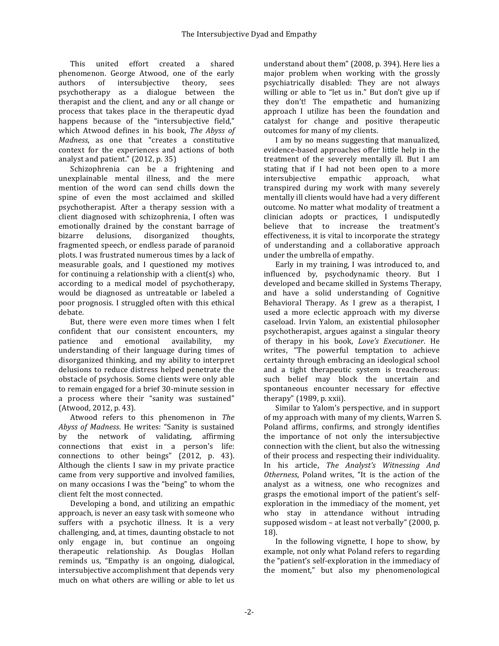This united effort created a shared phenomenon. George Atwood, one of the early authors of intersubiective theory, sees psychotherapy as a dialogue between the therapist and the client, and any or all change or process that takes place in the therapeutic dyad happens because of the "intersubjective field," which Atwood defines in his book, The Abyss of *Madness*, as one that "creates a constitutive context for the experiences and actions of both analyst and patient."  $(2012, p. 35)$ 

Schizophrenia can be a frightening and unexplainable mental illness, and the mere mention of the word can send chills down the spine of even the most acclaimed and skilled psychotherapist. After a therapy session with a client diagnosed with schizophrenia, I often was emotionally drained by the constant barrage of bizarre delusions, disorganized thoughts, fragmented speech, or endless parade of paranoid plots. I was frustrated numerous times by a lack of measurable goals, and I questioned my motives for continuing a relationship with a client(s) who, according to a medical model of psychotherapy, would be diagnosed as untreatable or labeled a poor prognosis. I struggled often with this ethical debate.

But, there were even more times when I felt confident that our consistent encounters, my patience and emotional availability, my understanding of their language during times of disorganized thinking, and my ability to interpret delusions to reduce distress helped penetrate the obstacle of psychosis. Some clients were only able to remain engaged for a brief 30-minute session in a process where their "sanity was sustained" (Atwood, 2012, p. 43).

Atwood refers to this phenomenon in The Abyss of Madness. He writes: "Sanity is sustained by the network of validating, affirming connections that exist in a person's life: connections to other beings"  $(2012, p. 43)$ . Although the clients  $I$  saw in my private practice came from very supportive and involved families, on many occasions I was the "being" to whom the client felt the most connected.

Developing a bond, and utilizing an empathic approach, is never an easy task with someone who suffers with a psychotic illness. It is a very challenging, and, at times, daunting obstacle to not only engage in, but continue an ongoing therapeutic relationship. As Douglas Hollan reminds us, "Empathy is an ongoing, dialogical, intersubjective accomplishment that depends very much on what others are willing or able to let us

understand about them" (2008, p. 394). Here lies a major problem when working with the grossly psychiatrically disabled: They are not always willing or able to "let us in." But don't give up if they don't! The empathetic and humanizing approach I utilize has been the foundation and catalyst for change and positive therapeutic outcomes for many of my clients.

I am by no means suggesting that manualized, evidence-based approaches offer little help in the treatment of the severely mentally ill. But I am stating that if I had not been open to a more intersubjective empathic approach, what transpired during my work with many severely mentally ill clients would have had a very different outcome. No matter what modality of treatment a clinician adopts or practices, I undisputedly believe that to increase the treatment's effectiveness, it is vital to incorporate the strategy of understanding and a collaborative approach under the umbrella of empathy.

Early in my training, I was introduced to, and influenced by, psychodynamic theory. But I developed and became skilled in Systems Therapy, and have a solid understanding of Cognitive Behavioral Therapy. As I grew as a therapist, I used a more eclectic approach with my diverse caseload. Irvin Yalom, an existential philosopher psychotherapist, argues against a singular theory of therapy in his book, *Love's Executioner*. He writes, "The powerful temptation to achieve certainty through embracing an ideological school and a tight therapeutic system is treacherous: such belief may block the uncertain and spontaneous encounter necessary for effective therapy"  $(1989, p. xxii)$ .

Similar to Yalom's perspective, and in support of my approach with many of my clients, Warren S. Poland affirms, confirms, and strongly identifies the importance of not only the intersubjective connection with the client, but also the witnessing of their process and respecting their individuality. In his article, *The Analyst's Witnessing And* Otherness, Poland writes, "It is the action of the analyst as a witness, one who recognizes and grasps the emotional import of the patient's selfexploration in the immediacy of the moment, yet who stay in attendance without intruding supposed wisdom  $-$  at least not verbally" (2000, p. 18).

In the following vignette, I hope to show, by example, not only what Poland refers to regarding the "patient's self-exploration in the immediacy of the moment," but also my phenomenological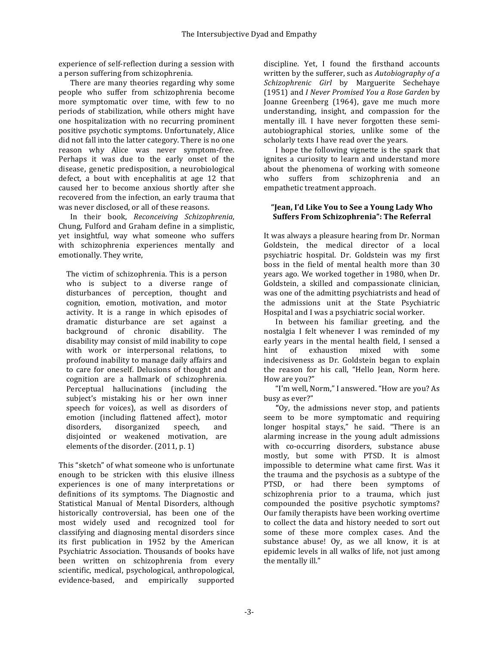experience of self-reflection during a session with a person suffering from schizophrenia.

There are many theories regarding why some people who suffer from schizophrenia become more symptomatic over time, with few to no periods of stabilization, while others might have one hospitalization with no recurring prominent positive psychotic symptoms. Unfortunately, Alice did not fall into the latter category. There is no one reason why Alice was never symptom-free. Perhaps it was due to the early onset of the disease, genetic predisposition, a neurobiological defect, a bout with encephalitis at age 12 that caused her to become anxious shortly after she recovered from the infection, an early trauma that was never disclosed, or all of these reasons.

In their book, *Reconceiving Schizophrenia*, Chung, Fulford and Graham define in a simplistic. yet insightful, way what someone who suffers with schizophrenia experiences mentally and emotionally. They write,

The victim of schizophrenia. This is a person who is subject to a diverse range of disturbances of perception, thought and cognition, emotion, motivation, and motor activity. It is a range in which episodes of dramatic disturbance are set against a background of chronic disability. The disability may consist of mild inability to cope with work or interpersonal relations, to profound inability to manage daily affairs and to care for oneself. Delusions of thought and cognition are a hallmark of schizophrenia. Perceptual hallucinations (including the subject's mistaking his or her own inner speech for voices), as well as disorders of emotion (including flattened affect), motor disorders, disorganized speech, and disiointed or weakened motivation, are elements of the disorder. (2011, p. 1)

This "sketch" of what someone who is unfortunate enough to be stricken with this elusive illness experiences is one of many interpretations or definitions of its symptoms. The Diagnostic and Statistical Manual of Mental Disorders, although historically controversial, has been one of the most widely used and recognized tool for classifying and diagnosing mental disorders since its first publication in 1952 by the American Psychiatric Association. Thousands of books have been written on schizophrenia from every scientific, medical, psychological, anthropological, evidence-based, and empirically supported

discipline. Yet, I found the firsthand accounts written by the sufferer, such as *Autobiography of a Schizophrenic Girl*  by Marguerite Sechehaye (1951) and *I Never Promised You a Rose Garden* by Joanne Greenberg (1964), gave me much more understanding, insight, and compassion for the mentally ill. I have never forgotten these semiautobiographical stories, unlike some of the scholarly texts I have read over the years.

I hope the following vignette is the spark that ignites a curiosity to learn and understand more about the phenomena of working with someone who suffers from schizophrenia and an empathetic treatment approach.

#### **"Jean, I'd Like You to See a Young Lady Who Suffers From Schizophrenia": The Referral**

It was always a pleasure hearing from Dr. Norman Goldstein, the medical director of a local psychiatric hospital. Dr. Goldstein was my first boss in the field of mental health more than 30 years ago. We worked together in 1980, when Dr. Goldstein, a skilled and compassionate clinician, was one of the admitting psychiatrists and head of the admissions unit at the State Psychiatric Hospital and I was a psychiatric social worker.

In between his familiar greeting, and the nostalgia I felt whenever I was reminded of my early vears in the mental health field. I sensed a hint of exhaustion mixed with some indecisiveness as Dr. Goldstein began to explain the reason for his call, "Hello Jean, Norm here. How are you?"

"I'm well, Norm," I answered. "How are you? As busy as ever?"

**"**Oy, the admissions never stop, and patients seem to be more symptomatic and requiring longer hospital stays," he said. "There is an alarming increase in the young adult admissions with co-occurring disorders, substance abuse mostly, but some with PTSD. It is almost impossible to determine what came first. Was it the trauma and the psychosis as a subtype of the PTSD, or had there been symptoms of schizophrenia prior to a trauma, which just compounded the positive psychotic symptoms? Our family therapists have been working overtime to collect the data and history needed to sort out some of these more complex cases. And the substance abuse! Oy, as we all know, it is at epidemic levels in all walks of life, not just among the mentally ill."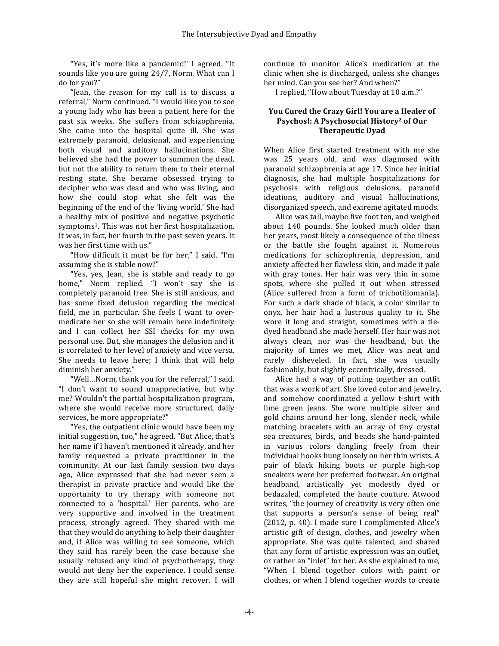"Yes, it's more like a pandemic!" I agreed. "It sounds like you are going 24/7. Norm. What can I do for you?"

**"**Jean, the reason for my call is to discuss a referral," Norm continued. "I would like you to see a young lady who has been a patient here for the past six weeks. She suffers from schizophrenia. She came into the hospital quite ill. She was extremely paranoid, delusional, and experiencing both visual and auditory hallucinations. She believed she had the power to summon the dead, but not the ability to return them to their eternal resting state. She became obsessed trying to decipher who was dead and who was living, and how she could stop what she felt was the beginning of the end of the 'living world.' She had a healthy mix of positive and negative psychotic symptoms<sup>1</sup>. This was not her first hospitalization. It was, in fact, her fourth in the past seven years. It was her first time with us."

**"**How difficult it must be for her," I said. "I'm assuming she is stable now?"

"Yes, yes, Jean, she is stable and ready to go home," Norm replied. "I won't say she is completely paranoid free. She is still anxious, and has some fixed delusion regarding the medical field, me in particular. She feels I want to overmedicate her so she will remain here indefinitely and I can collect her SSI checks for my own personal use. But, she manages the delusion and it is correlated to her level of anxiety and vice versa. She needs to leave here; I think that will help diminish her anxiety."

"Well...Norm, thank you for the referral," I said. "I don't want to sound unappreciative, but why me? Wouldn't the partial hospitalization program, where she would receive more structured, daily services, be more appropriate?"

"Yes, the outpatient clinic would have been my initial suggestion, too," he agreed. "But Alice, that's her name if I haven't mentioned it already, and her family requested a private practitioner in the community. At our last family session two days ago, Alice expressed that she had never seen a therapist in private practice and would like the opportunity to try therapy with someone not connected to a 'hospital.' Her parents, who are very supportive and involved in the treatment process, strongly agreed. They shared with me that they would do anything to help their daughter and, if Alice was willing to see someone, which they said has rarely been the case because she usually refused any kind of psychotherapy, they would not deny her the experience. I could sense they are still hopeful she might recover. I will

continue to monitor Alice's medication at the clinic when she is discharged, unless she changes her mind. Can you see her? And when?"

I replied, "How about Tuesday at 10 a.m.?"

#### You Cured the Crazy Girl! You are a Healer of Psychos!: A Psychosocial History<sup>2</sup> of Our **Therapeutic Dyad**

When Alice first started treatment with me she was 25 years old, and was diagnosed with paranoid schizophrenia at age 17. Since her initial diagnosis, she had multiple hospitalizations for psychosis with religious delusions, paranoid ideations, auditory and visual hallucinations, disorganized speech, and extreme agitated moods.

Alice was tall, maybe five foot ten, and weighed about 140 pounds. She looked much older than her years, most likely a consequence of the illness or the battle she fought against it. Numerous medications for schizophrenia, depression, and anxiety affected her flawless skin, and made it pale with gray tones. Her hair was very thin in some spots, where she pulled it out when stressed (Alice suffered from a form of trichotillomania). For such a dark shade of black, a color similar to onyx, her hair had a lustrous quality to it. She wore it long and straight, sometimes with a tiedyed headband she made herself. Her hair was not always clean, nor was the headband, but the majority of times we met, Alice was neat and rarely disheveled. In fact, she was usually fashionably, but slightly eccentrically, dressed.

Alice had a way of putting together an outfit that was a work of art. She loved color and jewelry, and somehow coordinated a yellow t-shirt with lime green jeans. She wore multiple silver and gold chains around her long, slender neck, while matching bracelets with an array of tiny crystal sea creatures, birds, and beads she hand-painted in various colors dangling freely from their individual hooks hung loosely on her thin wrists. A pair of black hiking boots or purple high-top sneakers were her preferred footwear. An original headband, artistically yet modestly dyed or bedazzled, completed the haute couture. Atwood writes, "the journey of creativity is very often one that supports a person's sense of being real"  $(2012, p. 40)$ . I made sure I complimented Alice's artistic gift of design, clothes, and jewelry when appropriate. She was quite talented, and shared that any form of artistic expression was an outlet, or rather an "inlet" for her. As she explained to me, "When I blend together colors with paint or clothes, or when I blend together words to create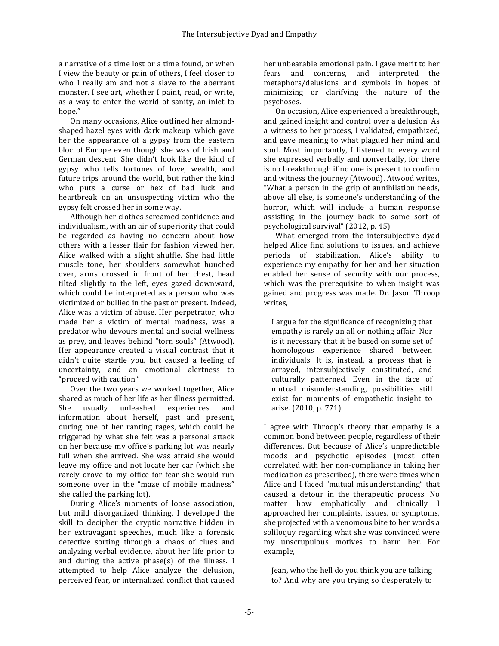a narrative of a time lost or a time found, or when I view the beauty or pain of others, I feel closer to who I really am and not a slave to the aberrant monster. I see art, whether I paint, read, or write, as a way to enter the world of sanity, an inlet to hope."

On many occasions, Alice outlined her almondshaped hazel eyes with dark makeup, which gave her the appearance of a gypsy from the eastern bloc of Europe even though she was of Irish and German descent. She didn't look like the kind of gypsy who tells fortunes of love, wealth, and future trips around the world, but rather the kind who puts a curse or hex of bad luck and heartbreak on an unsuspecting victim who the gypsy felt crossed her in some way.

Although her clothes screamed confidence and individualism, with an air of superiority that could be regarded as having no concern about how others with a lesser flair for fashion viewed her, Alice walked with a slight shuffle. She had little muscle tone, her shoulders somewhat hunched over, arms crossed in front of her chest, head tilted slightly to the left, eyes gazed downward, which could be interpreted as a person who was victimized or bullied in the past or present. Indeed, Alice was a victim of abuse. Her perpetrator, who made her a victim of mental madness, was a predator who devours mental and social wellness as prey, and leaves behind "torn souls" (Atwood). Her appearance created a visual contrast that it didn't quite startle vou, but caused a feeling of uncertainty, and an emotional alertness to "proceed with caution."

Over the two years we worked together, Alice shared as much of her life as her illness permitted. She usually unleashed experiences and information about herself, past and present, during one of her ranting rages, which could be triggered by what she felt was a personal attack on her because my office's parking lot was nearly full when she arrived. She was afraid she would leave my office and not locate her car (which she rarely drove to my office for fear she would run someone over in the "maze of mobile madness" she called the parking lot).

During Alice's moments of loose association, but mild disorganized thinking, I developed the skill to decipher the cryptic narrative hidden in her extravagant speeches, much like a forensic detective sorting through a chaos of clues and analyzing verbal evidence, about her life prior to and during the active phase(s) of the illness. I attempted to help Alice analyze the delusion, perceived fear, or internalized conflict that caused

her unbearable emotional pain. I gave merit to her fears and concerns, and interpreted the metaphors/delusions and symbols in hopes of minimizing or clarifying the nature of the psychoses.

On occasion, Alice experienced a breakthrough, and gained insight and control over a delusion. As a witness to her process, I validated, empathized, and gave meaning to what plagued her mind and soul. Most importantly, I listened to every word she expressed verbally and nonverbally, for there is no breakthrough if no one is present to confirm and witness the journey (Atwood). Atwood writes, "What a person in the grip of annihilation needs, above all else, is someone's understanding of the horror, which will include a human response assisting in the journey back to some sort of psychological survival" (2012, p. 45).

What emerged from the intersubjective dyad helped Alice find solutions to issues, and achieve periods of stabilization. Alice's ability to experience my empathy for her and her situation enabled her sense of security with our process, which was the prerequisite to when insight was gained and progress was made. Dr. Jason Throop writes,

I argue for the significance of recognizing that empathy is rarely an all or nothing affair. Nor is it necessary that it be based on some set of homologous experience shared between individuals. It is, instead, a process that is arrayed, intersubjectively constituted, and culturally patterned. Even in the face of mutual misunderstanding, possibilities still exist for moments of empathetic insight to arise. (2010, p. 771)

I agree with Throop's theory that empathy is a common bond between people, regardless of their differences. But because of Alice's unpredictable moods and psychotic episodes (most often correlated with her non-compliance in taking her medication as prescribed), there were times when Alice and I faced "mutual misunderstanding" that caused a detour in the therapeutic process. No matter how emphatically and clinically I approached her complaints, issues, or symptoms, she projected with a venomous bite to her words a soliloquy regarding what she was convinced were my unscrupulous motives to harm her. For example, 

Jean, who the hell do you think you are talking to? And why are you trying so desperately to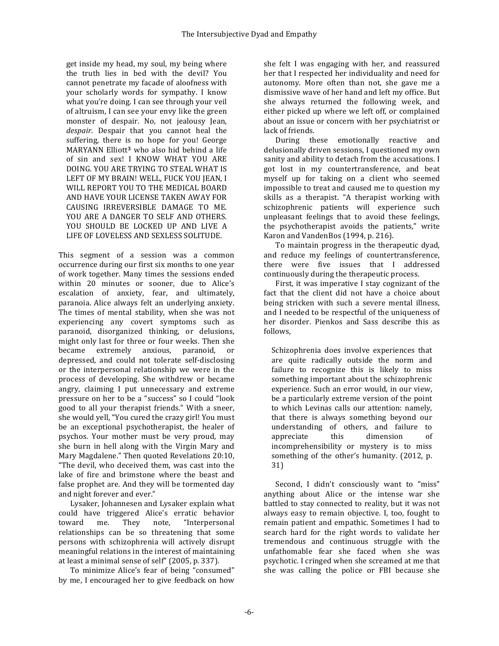get inside my head, my soul, my being where the truth lies in bed with the devil? You cannot penetrate my facade of aloofness with your scholarly words for sympathy. I know what you're doing. I can see through your veil of altruism, I can see your envy like the green monster of despair. No, not jealousy Jean, despair. Despair that you cannot heal the suffering, there is no hope for you! George MARYANN Elliott<sup>3</sup> who also hid behind a life of sin and sex! I KNOW WHAT YOU ARE DOING. YOU ARE TRYING TO STEAL WHAT IS LEFT OF MY BRAIN! WELL, FUCK YOU JEAN, I WILL REPORT YOU TO THE MEDICAL BOARD AND HAVE YOUR LICENSE TAKEN AWAY FOR CAUSING IRREVERSIBLE DAMAGE TO ME. YOU ARE A DANGER TO SELF AND OTHERS. YOU SHOULD BE LOCKED UP AND LIVE A LIFE OF LOVELESS AND SEXLESS SOLITUDE.

This segment of a session was a common occurrence during our first six months to one year of work together. Many times the sessions ended within 20 minutes or sooner, due to Alice's escalation of anxiety, fear, and ultimately, paranoia. Alice always felt an underlying anxiety. The times of mental stability, when she was not experiencing any covert symptoms such as paranoid, disorganized thinking, or delusions, might only last for three or four weeks. Then she became extremely anxious, paranoid, or depressed, and could not tolerate self-disclosing or the interpersonal relationship we were in the process of developing. She withdrew or became angry, claiming I put unnecessary and extreme pressure on her to be a "success" so I could "look good to all your therapist friends." With a sneer, she would yell, "You cured the crazy girl! You must be an exceptional psychotherapist, the healer of psychos. Your mother must be very proud, may she burn in hell along with the Virgin Mary and Mary Magdalene." Then quoted Revelations 20:10, "The devil, who deceived them, was cast into the lake of fire and brimstone where the beast and false prophet are. And they will be tormented day and night forever and ever."

Lysaker, Johannesen and Lysaker explain what could have triggered Alice's erratic behavior toward me. They note, "Interpersonal relationships can be so threatening that some persons with schizophrenia will actively disrupt meaningful relations in the interest of maintaining at least a minimal sense of self" (2005, p. 337).

To minimize Alice's fear of being "consumed" by me, I encouraged her to give feedback on how she felt I was engaging with her, and reassured her that I respected her individuality and need for autonomy. More often than not, she gave me a dismissive wave of her hand and left my office. But she always returned the following week, and either picked up where we left off, or complained about an issue or concern with her psychiatrist or lack of friends.

During these emotionally reactive and delusionally driven sessions, I questioned my own sanity and ability to detach from the accusations. I got lost in my countertransference, and beat myself up for taking on a client who seemed impossible to treat and caused me to question my skills as a therapist. "A therapist working with schizophrenic patients will experience such unpleasant feelings that to avoid these feelings, the psychotherapist avoids the patients," write Karon and VandenBos (1994, p. 216).

To maintain progress in the therapeutic dyad, and reduce my feelings of countertransference, there were five issues that I addressed continuously during the therapeutic process.

First, it was imperative I stay cognizant of the fact that the client did not have a choice about being stricken with such a severe mental illness. and I needed to be respectful of the uniqueness of her disorder. Pienkos and Sass describe this as follows,

Schizophrenia does involve experiences that are quite radically outside the norm and failure to recognize this is likely to miss something important about the schizophrenic experience. Such an error would, in our view, be a particularly extreme version of the point to which Levinas calls our attention: namely, that there is always something beyond our understanding of others, and failure to appreciate this dimension of incomprehensibility or mystery is to miss something of the other's humanity. (2012, p. 31)

Second, I didn't consciously want to "miss" anything about Alice or the intense war she battled to stay connected to reality, but it was not always easy to remain objective. I, too, fought to remain patient and empathic. Sometimes I had to search hard for the right words to validate her tremendous and continuous struggle with the unfathomable fear she faced when she was psychotic. I cringed when she screamed at me that she was calling the police or FBI because she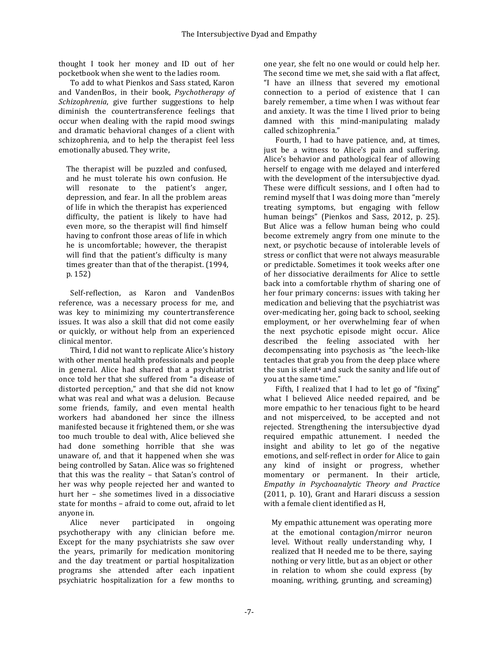thought I took her money and ID out of her pocketbook when she went to the ladies room.

To add to what Pienkos and Sass stated, Karon and VandenBos, in their book, *Psychotherapy of Schizophrenia*, give further suggestions to help diminish the countertransference feelings that occur when dealing with the rapid mood swings and dramatic behavioral changes of a client with schizophrenia, and to help the therapist feel less emotionally abused. They write,

The therapist will be puzzled and confused, and he must tolerate his own confusion. He will resonate to the patient's anger, depression, and fear. In all the problem areas of life in which the therapist has experienced difficulty, the patient is likely to have had even more, so the therapist will find himself having to confront those areas of life in which he is uncomfortable; however, the therapist will find that the patient's difficulty is many times greater than that of the therapist. (1994, p. 152)

Self-reflection, as Karon and VandenBos reference, was a necessary process for me, and was key to minimizing my countertransference issues. It was also a skill that did not come easily or quickly, or without help from an experienced clinical mentor.

Third, I did not want to replicate Alice's history with other mental health professionals and people in general. Alice had shared that a psychiatrist once told her that she suffered from "a disease of distorted perception," and that she did not know what was real and what was a delusion. Because some friends, family, and even mental health workers had abandoned her since the illness manifested because it frightened them, or she was too much trouble to deal with, Alice believed she had done something horrible that she was unaware of, and that it happened when she was being controlled by Satan. Alice was so frightened that this was the reality  $-$  that Satan's control of her was why people rejected her and wanted to hurt her – she sometimes lived in a dissociative state for months - afraid to come out, afraid to let anvone in.

Alice never participated in ongoing psychotherapy with any clinician before me. Except for the many psychiatrists she saw over the years, primarily for medication monitoring and the day treatment or partial hospitalization programs she attended after each inpatient psychiatric hospitalization for a few months to

one year, she felt no one would or could help her. The second time we met, she said with a flat affect. "I have an illness that severed my emotional connection to a period of existence that I can barely remember, a time when I was without fear and anxiety. It was the time I lived prior to being damned with this mind-manipulating malady called schizophrenia."

Fourth, I had to have patience, and, at times, just be a witness to Alice's pain and suffering. Alice's behavior and pathological fear of allowing herself to engage with me delayed and interfered with the development of the intersubjective dyad. These were difficult sessions, and I often had to remind myself that I was doing more than "merely treating symptoms, but engaging with fellow human beings" (Pienkos and Sass, 2012, p. 25). But Alice was a fellow human being who could become extremely angry from one minute to the next, or psychotic because of intolerable levels of stress or conflict that were not always measurable or predictable. Sometimes it took weeks after one of her dissociative derailments for Alice to settle back into a comfortable rhythm of sharing one of her four primary concerns: issues with taking her medication and believing that the psychiatrist was over-medicating her, going back to school, seeking employment, or her overwhelming fear of when the next psychotic episode might occur. Alice described the feeling associated with her decompensating into psychosis as "the leech-like tentacles that grab you from the deep place where the sun is silent<sup>4</sup> and suck the sanity and life out of you at the same time."

Fifth, I realized that I had to let go of "fixing" what I believed Alice needed repaired, and be more empathic to her tenacious fight to be heard and not misperceived, to be accepted and not rejected. Strengthening the intersubjective dyad required empathic attunement. I needed the insight and ability to let go of the negative emotions, and self-reflect in order for Alice to gain any kind of insight or progress, whether momentary or permanent. In their article, *Empathy in Psychoanalytic Theory and Practice*  $(2011, p. 10)$ , Grant and Harari discuss a session with a female client identified as H,

My empathic attunement was operating more at the emotional contagion/mirror neuron level. Without really understanding why, I realized that H needed me to be there, saying nothing or very little, but as an object or other in relation to whom she could express (by moaning, writhing, grunting, and screaming)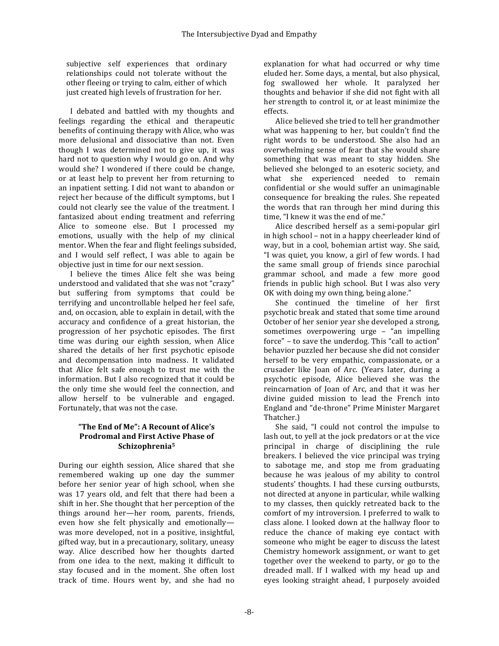subjective self experiences that ordinary relationships could not tolerate without the other fleeing or trying to calm, either of which just created high levels of frustration for her.

I debated and battled with my thoughts and feelings regarding the ethical and therapeutic benefits of continuing therapy with Alice, who was more delusional and dissociative than not. Even though I was determined not to give up, it was hard not to question why I would go on. And why would she? I wondered if there could be change, or at least help to prevent her from returning to an inpatient setting. I did not want to abandon or reject her because of the difficult symptoms, but I could not clearly see the value of the treatment. I fantasized about ending treatment and referring Alice to someone else. But I processed my emotions, usually with the help of my clinical mentor. When the fear and flight feelings subsided, and I would self reflect, I was able to again be objective just in time for our next session.

I believe the times Alice felt she was being understood and validated that she was not "crazy" but suffering from symptoms that could be terrifying and uncontrollable helped her feel safe, and, on occasion, able to explain in detail, with the accuracy and confidence of a great historian, the progression of her psychotic episodes. The first time was during our eighth session, when Alice shared the details of her first psychotic episode and decompensation into madness. It validated that Alice felt safe enough to trust me with the information. But I also recognized that it could be the only time she would feel the connection, and allow herself to be vulnerable and engaged. Fortunately, that was not the case.

#### "The End of Me": A Recount of Alice's **Prodromal and First Active Phase of Schizophrenia5**

During our eighth session, Alice shared that she remembered waking up one day the summer before her senior year of high school, when she was 17 years old, and felt that there had been a shift in her. She thought that her perception of the things around her—her room, parents, friends, even how she felt physically and emotionallywas more developed, not in a positive, insightful, gifted way, but in a precautionary, solitary, uneasy way. Alice described how her thoughts darted from one idea to the next, making it difficult to stay focused and in the moment. She often lost track of time. Hours went by, and she had no

explanation for what had occurred or why time eluded her. Some days, a mental, but also physical, fog swallowed her whole. It paralyzed her thoughts and behavior if she did not fight with all her strength to control it, or at least minimize the effects.

Alice believed she tried to tell her grandmother what was happening to her, but couldn't find the right words to be understood. She also had an overwhelming sense of fear that she would share something that was meant to stay hidden. She believed she belonged to an esoteric society, and what she experienced needed to remain confidential or she would suffer an unimaginable consequence for breaking the rules. She repeated the words that ran through her mind during this time, "I knew it was the end of me."

Alice described herself as a semi-popular girl in high school – not in a happy cheerleader kind of way, but in a cool, bohemian artist way. She said, "I was quiet, you know, a girl of few words. I had the same small group of friends since parochial grammar school, and made a few more good friends in public high school. But I was also very OK with doing my own thing, being alone."

She continued the timeline of her first psychotic break and stated that some time around October of her senior year she developed a strong, sometimes overpowering urge - "an impelling force" - to save the underdog. This "call to action" behavior puzzled her because she did not consider herself to be very empathic, compassionate, or a crusader like Joan of Arc. (Years later, during a psychotic episode, Alice believed she was the reincarnation of Joan of Arc, and that it was her divine guided mission to lead the French into England and "de-throne" Prime Minister Margaret Thatcher.)

She said, "I could not control the impulse to lash out, to yell at the jock predators or at the vice principal in charge of disciplining the rule breakers. I believed the vice principal was trying to sabotage me, and stop me from graduating because he was jealous of my ability to control students' thoughts. I had these cursing outbursts, not directed at anyone in particular, while walking to my classes, then quickly retreated back to the comfort of my introversion. I preferred to walk to class alone. I looked down at the hallway floor to reduce the chance of making eye contact with someone who might be eager to discuss the latest Chemistry homework assignment, or want to get together over the weekend to party, or go to the dreaded mall. If I walked with my head up and eyes looking straight ahead, I purposely avoided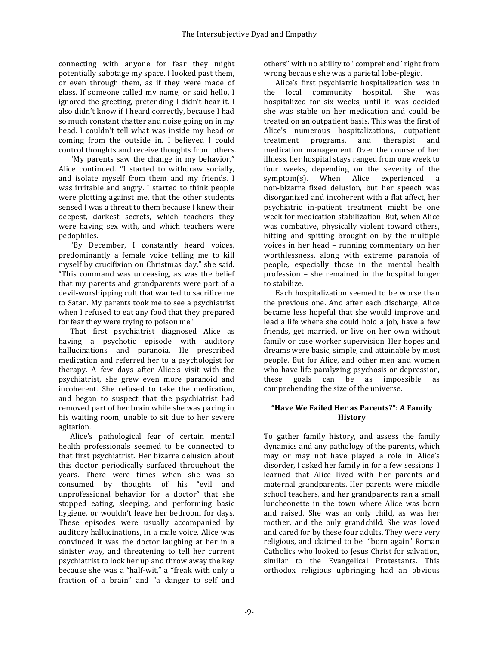connecting with anyone for fear they might potentially sabotage my space. I looked past them, or even through them, as if they were made of glass. If someone called my name, or said hello, I ignored the greeting, pretending I didn't hear it. I also didn't know if I heard correctly, because I had so much constant chatter and noise going on in my head. I couldn't tell what was inside my head or coming from the outside in. I believed I could control thoughts and receive thoughts from others.

"My parents saw the change in my behavior," Alice continued. "I started to withdraw socially, and isolate myself from them and my friends. I was irritable and angry. I started to think people were plotting against me, that the other students sensed I was a threat to them because I knew their deepest, darkest secrets, which teachers they were having sex with, and which teachers were pedophiles.

"By December, I constantly heard voices, predominantly a female voice telling me to kill myself by crucifixion on Christmas day," she said. "This command was unceasing, as was the belief that my parents and grandparents were part of a devil-worshipping cult that wanted to sacrifice me to Satan. My parents took me to see a psychiatrist when I refused to eat any food that they prepared for fear they were trying to poison me."

That first psychiatrist diagnosed Alice as having a psychotic episode with auditory hallucinations and paranoia. He prescribed medication and referred her to a psychologist for therapy. A few days after Alice's visit with the psychiatrist, she grew even more paranoid and incoherent. She refused to take the medication, and began to suspect that the psychiatrist had removed part of her brain while she was pacing in his waiting room, unable to sit due to her severe agitation.

Alice's pathological fear of certain mental health professionals seemed to be connected to that first psychiatrist. Her bizarre delusion about this doctor periodically surfaced throughout the years. There were times when she was so consumed by thoughts of his "evil and unprofessional behavior for a doctor" that she stopped eating, sleeping, and performing basic hygiene, or wouldn't leave her bedroom for days. These episodes were usually accompanied by auditory hallucinations, in a male voice. Alice was convinced it was the doctor laughing at her in a sinister way, and threatening to tell her current psychiatrist to lock her up and throw away the key because she was a "half-wit," a "freak with only a fraction of a brain" and "a danger to self and

others" with no ability to "comprehend" right from wrong because she was a parietal lobe-plegic.

Alice's first psychiatric hospitalization was in the local community hospital. She was hospitalized for six weeks, until it was decided she was stable on her medication and could be treated on an outpatient basis. This was the first of Alice's numerous hospitalizations, outpatient treatment programs, and therapist and medication management. Over the course of her illness, her hospital stays ranged from one week to four weeks, depending on the severity of the  $symptom(s)$ . When Alice experienced a non-bizarre fixed delusion, but her speech was disorganized and incoherent with a flat affect, her psychiatric in-patient treatment might be one week for medication stabilization. But, when Alice was combative, physically violent toward others, hitting and spitting brought on by the multiple voices in her head - running commentary on her worthlessness, along with extreme paranoia of people, especially those in the mental health profession  $-$  she remained in the hospital longer to stabilize.

Each hospitalization seemed to be worse than the previous one. And after each discharge, Alice became less hopeful that she would improve and lead a life where she could hold a job, have a few friends, get married, or live on her own without family or case worker supervision. Her hopes and dreams were basic, simple, and attainable by most people. But for Alice, and other men and women who have life-paralyzing psychosis or depression, these goals can be as impossible as comprehending the size of the universe.

### **"Have We Failed Her as Parents?": A Family History**

To gather family history, and assess the family dynamics and any pathology of the parents, which may or may not have played a role in Alice's disorder. I asked her family in for a few sessions. I learned that Alice lived with her parents and maternal grandparents. Her parents were middle school teachers, and her grandparents ran a small luncheonette in the town where Alice was born and raised. She was an only child, as was her mother, and the only grandchild. She was loved and cared for by these four adults. They were very religious, and claimed to be "born again" Roman Catholics who looked to Jesus Christ for salvation, similar to the Evangelical Protestants. This orthodox religious upbringing had an obvious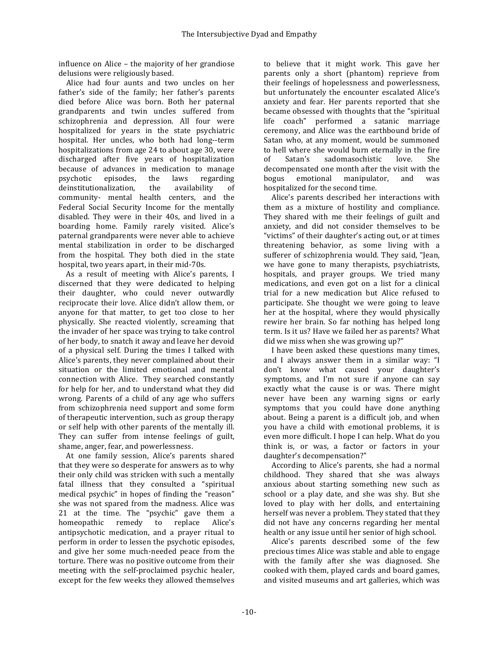influence on Alice  $-$  the majority of her grandiose delusions were religiously based.

Alice had four aunts and two uncles on her father's side of the family; her father's parents died before Alice was born. Both her paternal grandparents and twin uncles suffered from schizophrenia and depression. All four were hospitalized for years in the state psychiatric hospital. Her uncles, who both had long--term hospitalizations from age 24 to about age 30, were discharged after five years of hospitalization because of advances in medication to manage psychotic episodes, the laws regarding deinstitutionalization, the availability of community- mental health centers, and the Federal Social Security Income for the mentally disabled. They were in their 40s, and lived in a boarding home. Family rarely visited. Alice's paternal grandparents were never able to achieve mental stabilization in order to be discharged from the hospital. They both died in the state hospital, two years apart, in their mid-70s.

As a result of meeting with Alice's parents, I discerned that they were dedicated to helping their daughter, who could never outwardly reciprocate their love. Alice didn't allow them, or anyone for that matter, to get too close to her physically. She reacted violently, screaming that the invader of her space was trying to take control of her body, to snatch it away and leave her devoid of a physical self. During the times I talked with Alice's parents, they never complained about their situation or the limited emotional and mental connection with Alice. They searched constantly for help for her, and to understand what they did wrong. Parents of a child of any age who suffers from schizophrenia need support and some form of therapeutic intervention, such as group therapy or self help with other parents of the mentally ill. They can suffer from intense feelings of guilt, shame, anger, fear, and powerlessness.

At one family session, Alice's parents shared that they were so desperate for answers as to why their only child was stricken with such a mentally fatal illness that they consulted a "spiritual medical psychic" in hopes of finding the "reason" she was not spared from the madness. Alice was 21 at the time. The "psychic" gave them a homeopathic remedy to replace Alice's antipsychotic medication, and a prayer ritual to perform in order to lessen the psychotic episodes, and give her some much-needed peace from the torture. There was no positive outcome from their meeting with the self-proclaimed psychic healer, except for the few weeks they allowed themselves

to believe that it might work. This gave her parents only a short (phantom) reprieve from their feelings of hopelessness and powerlessness, but unfortunately the encounter escalated Alice's anxiety and fear. Her parents reported that she became obsessed with thoughts that the "spiritual life coach" performed a satanic marriage ceremony, and Alice was the earthbound bride of Satan who, at any moment, would be summoned to hell where she would burn eternally in the fire of Satan's sadomasochistic love. She decompensated one month after the visit with the bogus emotional manipulator, and was hospitalized for the second time.

Alice's parents described her interactions with them as a mixture of hostility and compliance. They shared with me their feelings of guilt and anxiety, and did not consider themselves to be "victims" of their daughter's acting out, or at times threatening behavior, as some living with a sufferer of schizophrenia would. They said, "Jean, we have gone to many therapists, psychiatrists, hospitals, and prayer groups. We tried many medications, and even got on a list for a clinical trial for a new medication but Alice refused to participate. She thought we were going to leave her at the hospital, where they would physically rewire her brain. So far nothing has helped long term. Is it us? Have we failed her as parents? What did we miss when she was growing up?"

I have been asked these questions many times, and I always answer them in a similar way: "I don't know what caused your daughter's symptoms, and I'm not sure if anyone can say exactly what the cause is or was. There might never have been any warning signs or early symptoms that you could have done anything about. Being a parent is a difficult job, and when you have a child with emotional problems, it is even more difficult. I hope I can help. What do you think is, or was, a factor or factors in your daughter's decompensation?"

According to Alice's parents, she had a normal childhood. They shared that she was always anxious about starting something new such as school or a play date, and she was shy. But she loved to play with her dolls, and entertaining herself was never a problem. They stated that they did not have any concerns regarding her mental health or any issue until her senior of high school.

Alice's parents described some of the few precious times Alice was stable and able to engage with the family after she was diagnosed. She cooked with them, played cards and board games, and visited museums and art galleries, which was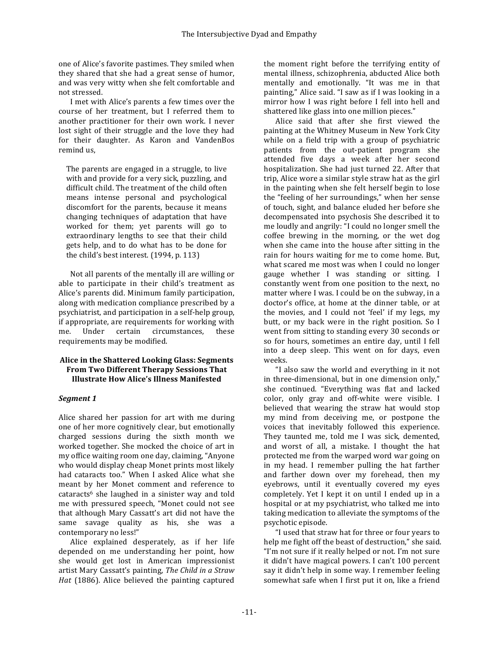one of Alice's favorite pastimes. They smiled when they shared that she had a great sense of humor. and was very witty when she felt comfortable and not stressed.

I met with Alice's parents a few times over the course of her treatment, but I referred them to another practitioner for their own work. I never lost sight of their struggle and the love they had for their daughter. As Karon and VandenBos remind us.

The parents are engaged in a struggle, to live with and provide for a very sick, puzzling, and difficult child. The treatment of the child often means intense personal and psychological discomfort for the parents, because it means changing techniques of adaptation that have worked for them; yet parents will go to extraordinary lengths to see that their child gets help, and to do what has to be done for the child's best interest.  $(1994, p. 113)$ 

Not all parents of the mentally ill are willing or able to participate in their child's treatment as Alice's parents did. Minimum family participation, along with medication compliance prescribed by a psychiatrist, and participation in a self-help group, if appropriate, are requirements for working with me. Under certain circumstances, these requirements may be modified.

#### Alice in the Shattered Looking Glass: Segments **From Two Different Therapy Sessions That Illustrate How Alice's Illness Manifested**

### Segment 1

Alice shared her passion for art with me during one of her more cognitively clear, but emotionally charged sessions during the sixth month we worked together. She mocked the choice of art in my office waiting room one day, claiming, "Anyone who would display cheap Monet prints most likely had cataracts too." When I asked Alice what she meant by her Monet comment and reference to cataracts<sup>6</sup> she laughed in a sinister way and told me with pressured speech, "Monet could not see that although Mary Cassatt's art did not have the same savage quality as his, she was a contemporary no less!"

Alice explained desperately, as if her life depended on me understanding her point, how she would get lost in American impressionist artist Mary Cassatt's painting, *The Child in a Straw Hat* (1886). Alice believed the painting captured the moment right before the terrifying entity of mental illness, schizophrenia, abducted Alice both mentally and emotionally. "It was me in that painting," Alice said. "I saw as if I was looking in a mirror how I was right before I fell into hell and shattered like glass into one million pieces."

Alice said that after she first viewed the painting at the Whitney Museum in New York City while on a field trip with a group of psychiatric patients from the out-patient program she attended five days a week after her second hospitalization. She had just turned 22. After that trip, Alice wore a similar style straw hat as the girl in the painting when she felt herself begin to lose the "feeling of her surroundings," when her sense of touch, sight, and balance eluded her before she decompensated into psychosis She described it to me loudly and angrily: "I could no longer smell the coffee brewing in the morning, or the wet dog when she came into the house after sitting in the rain for hours waiting for me to come home. But, what scared me most was when I could no longer gauge whether I was standing or sitting. I constantly went from one position to the next, no matter where I was. I could be on the subway, in a doctor's office, at home at the dinner table, or at the movies, and I could not 'feel' if my legs, my butt, or my back were in the right position. So I went from sitting to standing every 30 seconds or so for hours, sometimes an entire day, until I fell into a deep sleep. This went on for days, even weeks.

"I also saw the world and everything in it not in three-dimensional, but in one dimension only," she continued. "Everything was flat and lacked color, only gray and off-white were visible. I believed that wearing the straw hat would stop my mind from deceiving me, or postpone the voices that inevitably followed this experience. They taunted me, told me I was sick, demented, and worst of all, a mistake. I thought the hat protected me from the warped word war going on in my head. I remember pulling the hat farther and farther down over my forehead, then my eyebrows, until it eventually covered my eyes completely. Yet I kept it on until I ended up in a hospital or at my psychiatrist, who talked me into taking medication to alleviate the symptoms of the psychotic episode.

"I used that straw hat for three or four years to help me fight off the beast of destruction," she said. "I'm not sure if it really helped or not. I'm not sure it didn't have magical powers. I can't 100 percent say it didn't help in some way. I remember feeling somewhat safe when I first put it on, like a friend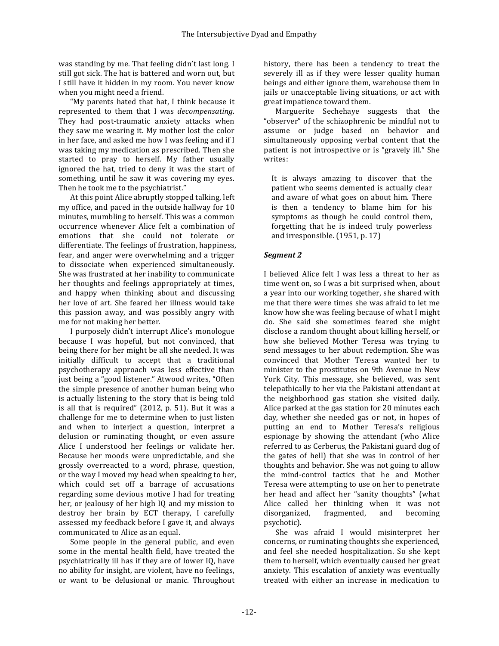was standing by me. That feeling didn't last long. I still got sick. The hat is battered and worn out, but I still have it hidden in my room. You never know when you might need a friend.

"My parents hated that hat, I think because it represented to them that I was *decompensating*. They had post-traumatic anxiety attacks when they saw me wearing it. My mother lost the color in her face, and asked me how I was feeling and if I was taking my medication as prescribed. Then she started to pray to herself. My father usually ignored the hat, tried to deny it was the start of something, until he saw it was covering my eyes. Then he took me to the psychiatrist."

At this point Alice abruptly stopped talking, left my office, and paced in the outside hallway for 10 minutes, mumbling to herself. This was a common occurrence whenever Alice felt a combination of emotions that she could not tolerate or differentiate. The feelings of frustration, happiness, fear, and anger were overwhelming and a trigger to dissociate when experienced simultaneously. She was frustrated at her inability to communicate her thoughts and feelings appropriately at times, and happy when thinking about and discussing her love of art. She feared her illness would take this passion away, and was possibly angry with me for not making her better.

I purposely didn't interrupt Alice's monologue because I was hopeful, but not convinced, that being there for her might be all she needed. It was initially difficult to accept that a traditional psychotherapy approach was less effective than just being a "good listener." Atwood writes, "Often the simple presence of another human being who is actually listening to the story that is being told is all that is required"  $(2012, p. 51)$ . But it was a challenge for me to determine when to just listen and when to interject a question, interpret a delusion or ruminating thought, or even assure Alice I understood her feelings or validate her. Because her moods were unpredictable, and she grossly overreacted to a word, phrase, question, or the way I moved my head when speaking to her, which could set off a barrage of accusations regarding some devious motive I had for treating her, or jealousy of her high IQ and my mission to destroy her brain by ECT therapy, I carefully assessed my feedback before I gave it, and always communicated to Alice as an equal.

Some people in the general public, and even some in the mental health field, have treated the psychiatrically ill has if they are of lower IQ, have no ability for insight, are violent, have no feelings, or want to be delusional or manic. Throughout

history, there has been a tendency to treat the severely ill as if they were lesser quality human beings and either ignore them, warehouse them in jails or unacceptable living situations, or act with great impatience toward them.

Marguerite Sechehaye suggests that the "observer" of the schizophrenic be mindful not to assume or judge based on behavior and simultaneously opposing verbal content that the patient is not introspective or is "gravely ill." She writes:

It is always amazing to discover that the patient who seems demented is actually clear and aware of what goes on about him. There is then a tendency to blame him for his symptoms as though he could control them, forgetting that he is indeed truly powerless and irresponsible.  $(1951, p. 17)$ 

### *Segment 2*

I believed Alice felt I was less a threat to her as time went on, so I was a bit surprised when, about a year into our working together, she shared with me that there were times she was afraid to let me know how she was feeling because of what I might do. She said she sometimes feared she might disclose a random thought about killing herself, or how she believed Mother Teresa was trying to send messages to her about redemption. She was convinced that Mother Teresa wanted her to minister to the prostitutes on 9th Avenue in New York City. This message, she believed, was sent telepathically to her via the Pakistani attendant at the neighborhood gas station she visited daily. Alice parked at the gas station for 20 minutes each day, whether she needed gas or not, in hopes of putting an end to Mother Teresa's religious espionage by showing the attendant (who Alice referred to as Cerberus, the Pakistani guard dog of the gates of hell) that she was in control of her thoughts and behavior. She was not going to allow the mind-control tactics that he and Mother Teresa were attempting to use on her to penetrate her head and affect her "sanity thoughts" (what Alice called her thinking when it was not disorganized, fragmented, and becoming psychotic).

She was afraid I would misinterpret her concerns, or ruminating thoughts she experienced, and feel she needed hospitalization. So she kept them to herself, which eventually caused her great anxiety. This escalation of anxiety was eventually treated with either an increase in medication to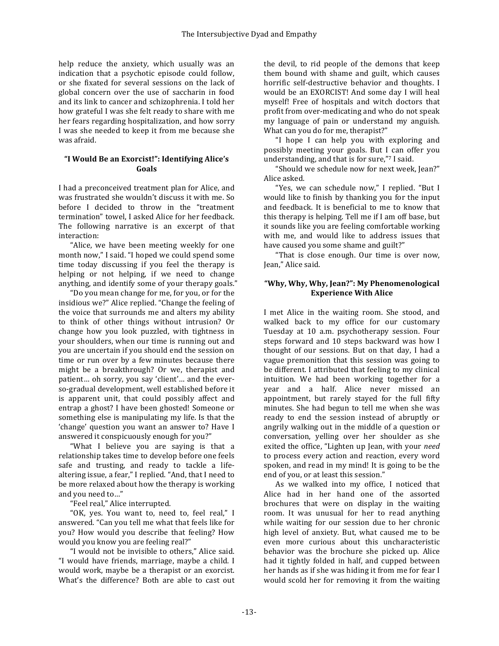help reduce the anxiety, which usually was an indication that a psychotic episode could follow. or she fixated for several sessions on the lack of global concern over the use of saccharin in food and its link to cancer and schizophrenia. I told her how grateful I was she felt ready to share with me her fears regarding hospitalization, and how sorry I was she needed to keep it from me because she was afraid.

#### **"I Would Be an Exorcist!": Identifying Alice's Goals**

I had a preconceived treatment plan for Alice, and was frustrated she wouldn't discuss it with me. So before I decided to throw in the "treatment termination" towel, I asked Alice for her feedback. The following narrative is an excerpt of that interaction:

"Alice, we have been meeting weekly for one month now," I said. "I hoped we could spend some time today discussing if you feel the therapy is helping or not helping, if we need to change anything, and identify some of your therapy goals."

"Do you mean change for me, for you, or for the insidious we?" Alice replied. "Change the feeling of the voice that surrounds me and alters my ability to think of other things without intrusion? Or change how you look puzzled, with tightness in your shoulders, when our time is running out and you are uncertain if you should end the session on time or run over by a few minutes because there might be a breakthrough? Or we, therapist and patient... oh sorry, you say 'client'... and the everso-gradual development, well established before it is apparent unit, that could possibly affect and entrap a ghost? I have been ghosted! Someone or something else is manipulating my life. Is that the 'change' question you want an answer to? Have I answered it conspicuously enough for you?"

"What I believe you are saying is that a relationship takes time to develop before one feels safe and trusting, and ready to tackle a lifealtering issue, a fear," I replied. "And, that I need to be more relaxed about how the therapy is working and you need to..."

"Feel real," Alice interrupted.

"OK, yes. You want to, need to, feel real," I answered. "Can you tell me what that feels like for you? How would you describe that feeling? How would you know you are feeling real?"

"I would not be invisible to others," Alice said. "I would have friends, marriage, maybe a child. I would work, maybe be a therapist or an exorcist. What's the difference? Both are able to cast out the devil, to rid people of the demons that keep them bound with shame and guilt, which causes horrific self-destructive behavior and thoughts. I would be an EXORCIST! And some day I will heal myself! Free of hospitals and witch doctors that profit from over-medicating and who do not speak my language of pain or understand my anguish. What can you do for me, therapist?"

"I hope I can help you with exploring and possibly meeting your goals. But I can offer you understanding, and that is for sure,"7 I said.

"Should we schedule now for next week, Jean?" Alice asked.

"Yes, we can schedule now," I replied. "But I would like to finish by thanking you for the input and feedback. It is beneficial to me to know that this therapy is helping. Tell me if I am off base, but it sounds like you are feeling comfortable working with me, and would like to address issues that have caused you some shame and guilt?"

"That is close enough. Our time is over now, Iean." Alice said.

#### "Why, Why, Why, Jean?": My Phenomenological **Experience With Alice**

I met Alice in the waiting room. She stood, and walked back to my office for our customary Tuesday at 10 a.m. psychotherapy session. Four steps forward and 10 steps backward was how I thought of our sessions. But on that day, I had a vague premonition that this session was going to be different. I attributed that feeling to my clinical intuition. We had been working together for a year and a half. Alice never missed an appointment, but rarely stayed for the full fifty minutes. She had begun to tell me when she was ready to end the session instead of abruptly or angrily walking out in the middle of a question or conversation, yelling over her shoulder as she exited the office, "Lighten up Jean, with your *need* to process every action and reaction, every word spoken, and read in my mind! It is going to be the end of you, or at least this session."

As we walked into my office, I noticed that Alice had in her hand one of the assorted brochures that were on display in the waiting room. It was unusual for her to read anything while waiting for our session due to her chronic high level of anxiety. But, what caused me to be even more curious about this uncharacteristic behavior was the brochure she picked up. Alice had it tightly folded in half, and cupped between her hands as if she was hiding it from me for fear I would scold her for removing it from the waiting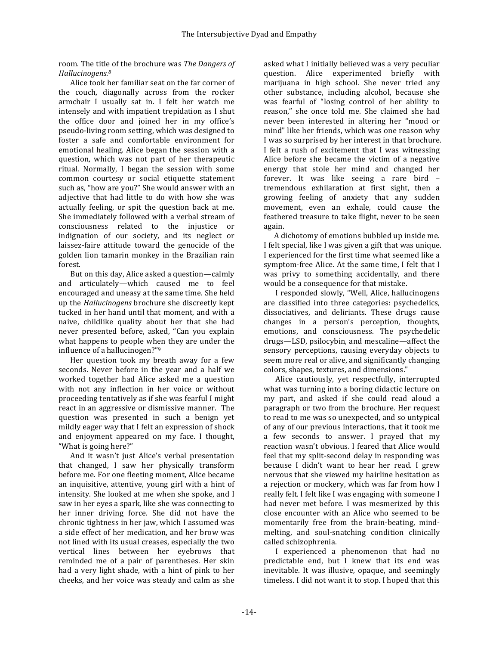room. The title of the brochure was *The Dangers of Hallucinogens.8* 

Alice took her familiar seat on the far corner of the couch, diagonally across from the rocker armchair I usually sat in. I felt her watch me intensely and with impatient trepidation as I shut the office door and joined her in my office's pseudo-living room setting, which was designed to foster a safe and comfortable environment for emotional healing. Alice began the session with a question, which was not part of her therapeutic ritual. Normally, I began the session with some common courtesy or social etiquette statement such as, "how are you?" She would answer with an adjective that had little to do with how she was actually feeling, or spit the question back at me. She immediately followed with a verbal stream of consciousness related to the injustice or indignation of our society, and its neglect or laissez-faire attitude toward the genocide of the golden lion tamarin monkey in the Brazilian rain forest.

But on this day, Alice asked a question—calmly and articulately—which caused me to feel encouraged and uneasy at the same time. She held up the *Hallucinogens* brochure she discreetly kept tucked in her hand until that moment, and with a naive, childlike quality about her that she had never presented before, asked, "Can you explain what happens to people when they are under the influence of a hallucinogen?"<sup>9</sup>

Her question took my breath away for a few seconds. Never before in the year and a half we worked together had Alice asked me a question with not any inflection in her voice or without proceeding tentatively as if she was fearful I might react in an aggressive or dismissive manner. The question was presented in such a benign yet mildly eager way that I felt an expression of shock and enjoyment appeared on my face. I thought, "What is going here?"

And it wasn't just Alice's verbal presentation that changed. I saw her physically transform before me. For one fleeting moment, Alice became an inquisitive, attentive, young girl with a hint of intensity. She looked at me when she spoke, and I saw in her eyes a spark, like she was connecting to her inner driving force. She did not have the chronic tightness in her jaw, which I assumed was a side effect of her medication, and her brow was not lined with its usual creases, especially the two vertical lines between her eyebrows that reminded me of a pair of parentheses. Her skin had a very light shade, with a hint of pink to her cheeks, and her voice was steady and calm as she

asked what I initially believed was a very peculiar question. Alice experimented briefly with marijuana in high school. She never tried any other substance, including alcohol, because she was fearful of "losing control of her ability to reason," she once told me. She claimed she had never been interested in altering her "mood or mind" like her friends, which was one reason why I was so surprised by her interest in that brochure. I felt a rush of excitement that I was witnessing Alice before she became the victim of a negative energy that stole her mind and changed her forever. It was like seeing a rare bird  $$ tremendous exhilaration at first sight, then a growing feeling of anxiety that any sudden movement, even an exhale, could cause the feathered treasure to take flight, never to be seen again.

A dichotomy of emotions bubbled up inside me. I felt special, like I was given a gift that was unique. I experienced for the first time what seemed like a symptom-free Alice. At the same time, I felt that I was privy to something accidentally, and there would be a consequence for that mistake.

I responded slowly, "Well, Alice, hallucinogens are classified into three categories: psychedelics, dissociatives, and deliriants. These drugs cause changes in a person's perception, thoughts, emotions, and consciousness. The psychedelic drugs-LSD, psilocybin, and mescaline-affect the sensory perceptions, causing everyday objects to seem more real or alive, and significantly changing colors, shapes, textures, and dimensions."

Alice cautiously, yet respectfully, interrupted what was turning into a boring didactic lecture on my part, and asked if she could read aloud a paragraph or two from the brochure. Her request to read to me was so unexpected, and so untypical of any of our previous interactions, that it took me a few seconds to answer. I prayed that my reaction wasn't obvious. I feared that Alice would feel that my split-second delay in responding was because I didn't want to hear her read. I grew nervous that she viewed my hairline hesitation as a rejection or mockery, which was far from how I really felt. I felt like I was engaging with someone I had never met before. I was mesmerized by this close encounter with an Alice who seemed to be momentarily free from the brain-beating, mindmelting, and soul-snatching condition clinically called schizophrenia.

I experienced a phenomenon that had no predictable end, but I knew that its end was inevitable. It was illusive, opaque, and seemingly timeless. I did not want it to stop. I hoped that this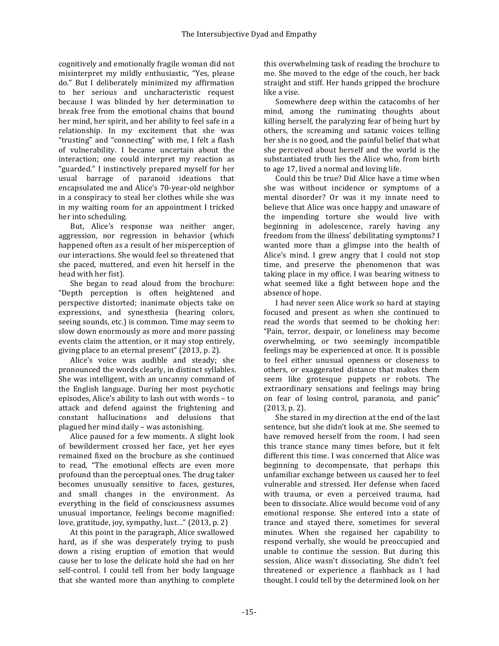cognitively and emotionally fragile woman did not misinterpret my mildly enthusiastic, "Yes, please do." But I deliberately minimized my affirmation to her serious and uncharacteristic request because I was blinded by her determination to break free from the emotional chains that bound her mind, her spirit, and her ability to feel safe in a relationship. In my excitement that she was "trusting" and "connecting" with me, I felt a flash of vulnerability. I became uncertain about the interaction; one could interpret my reaction as "guarded." I instinctively prepared myself for her usual barrage of paranoid ideations that encapsulated me and Alice's 70-year-old neighbor in a conspiracy to steal her clothes while she was in my waiting room for an appointment I tricked her into scheduling.

But, Alice's response was neither anger, aggression, nor regression in behavior (which happened often as a result of her misperception of our interactions. She would feel so threatened that she paced, muttered, and even hit herself in the head with her fist).

She began to read aloud from the brochure: "Depth perception is often heightened and perspective distorted; inanimate objects take on expressions, and synesthesia (hearing colors, seeing sounds, etc.) is common. Time may seem to slow down enormously as more and more passing events claim the attention, or it may stop entirely, giving place to an eternal present"  $(2013, p. 2)$ .

Alice's voice was audible and steady; she pronounced the words clearly, in distinct syllables. She was intelligent, with an uncanny command of the English language. During her most psychotic episodes, Alice's ability to lash out with words - to attack and defend against the frightening and constant hallucinations and delusions that plagued her mind daily - was astonishing.

Alice paused for a few moments. A slight look of bewilderment crossed her face, yet her eyes remained fixed on the brochure as she continued to read, "The emotional effects are even more profound than the perceptual ones. The drug taker becomes unusually sensitive to faces, gestures, and small changes in the environment. As everything in the field of consciousness assumes unusual importance, feelings become magnified: love, gratitude, joy, sympathy, lust..."  $(2013, p. 2)$ 

At this point in the paragraph, Alice swallowed hard, as if she was desperately trying to push down a rising eruption of emotion that would cause her to lose the delicate hold she had on her self-control. I could tell from her body language that she wanted more than anything to complete

this overwhelming task of reading the brochure to me. She moved to the edge of the couch, her back straight and stiff. Her hands gripped the brochure like a vise.

Somewhere deep within the catacombs of her mind, among the ruminating thoughts about killing herself, the paralyzing fear of being hurt by others, the screaming and satanic voices telling her she is no good, and the painful belief that what she perceived about herself and the world is the substantiated truth lies the Alice who, from birth to age 17, lived a normal and loving life.

Could this be true? Did Alice have a time when she was without incidence or symptoms of a mental disorder? Or was it my innate need to believe that Alice was once happy and unaware of the impending torture she would live with beginning in adolescence, rarely having any freedom from the illness' debilitating symptoms? I wanted more than a glimpse into the health of Alice's mind. I grew angry that I could not stop time, and preserve the phenomenon that was taking place in my office. I was bearing witness to what seemed like a fight between hope and the absence of hope.

I had never seen Alice work so hard at staying focused and present as when she continued to read the words that seemed to be choking her: "Pain, terror, despair, or loneliness may become overwhelming, or two seemingly incompatible feelings may be experienced at once. It is possible to feel either unusual openness or closeness to others, or exaggerated distance that makes them seem like grotesque puppets or robots. The extraordinary sensations and feelings may bring on fear of losing control, paranoia, and panic"  $(2013, p. 2).$ 

She stared in my direction at the end of the last sentence, but she didn't look at me. She seemed to have removed herself from the room. I had seen this trance stance many times before, but it felt different this time. I was concerned that Alice was beginning to decompensate, that perhaps this unfamiliar exchange between us caused her to feel vulnerable and stressed. Her defense when faced with trauma, or even a perceived trauma, had been to dissociate. Alice would become void of any emotional response. She entered into a state of trance and stayed there, sometimes for several minutes. When she regained her capability to respond verbally, she would be preoccupied and unable to continue the session. But during this session, Alice wasn't dissociating. She didn't feel threatened or experience a flashback as I had thought. I could tell by the determined look on her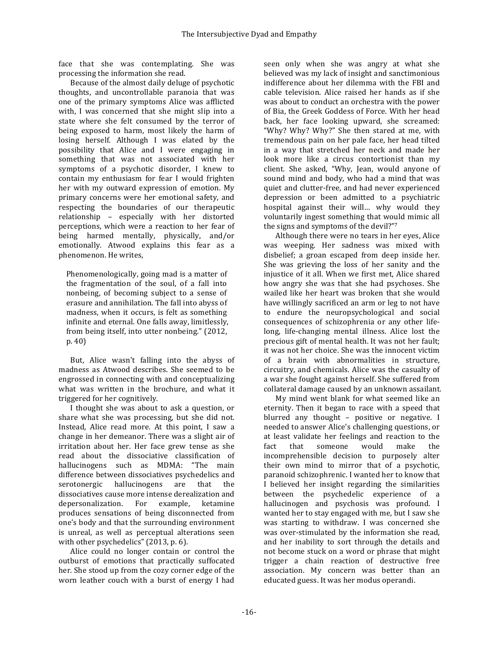face that she was contemplating. She was processing the information she read.

Because of the almost daily deluge of psychotic thoughts, and uncontrollable paranoia that was one of the primary symptoms Alice was afflicted with, I was concerned that she might slip into a state where she felt consumed by the terror of being exposed to harm, most likely the harm of losing herself. Although I was elated by the possibility that Alice and I were engaging in something that was not associated with her symptoms of a psychotic disorder, I knew to contain my enthusiasm for fear I would frighten her with my outward expression of emotion. My primary concerns were her emotional safety, and respecting the boundaries of our therapeutic relationship – especially with her distorted perceptions, which were a reaction to her fear of being harmed mentally, physically, and/or emotionally. Atwood explains this fear as a phenomenon. He writes,

Phenomenologically, going mad is a matter of the fragmentation of the soul, of a fall into nonbeing, of becoming subject to a sense of erasure and annihilation. The fall into abyss of madness, when it occurs, is felt as something infinite and eternal. One falls away, limitlessly, from being itself, into utter nonbeing." (2012, p. 40) 

But, Alice wasn't falling into the abyss of madness as Atwood describes. She seemed to be engrossed in connecting with and conceptualizing what was written in the brochure, and what it triggered for her cognitively.

I thought she was about to ask a question, or share what she was processing, but she did not. Instead, Alice read more. At this point, I saw a change in her demeanor. There was a slight air of irritation about her. Her face grew tense as she read about the dissociative classification of hallucinogens such as MDMA: "The main difference between dissociatives psychedelics and serotonergic hallucinogens are that the dissociatives cause more intense derealization and depersonalization. For example, ketamine produces sensations of being disconnected from one's body and that the surrounding environment is unreal, as well as perceptual alterations seen with other psychedelics" (2013, p. 6).

Alice could no longer contain or control the outburst of emotions that practically suffocated her. She stood up from the cozy corner edge of the worn leather couch with a burst of energy I had

seen only when she was angry at what she believed was my lack of insight and sanctimonious indifference about her dilemma with the FBI and cable television. Alice raised her hands as if she was about to conduct an orchestra with the power of Bia, the Greek Goddess of Force. With her head back, her face looking upward, she screamed: "Why? Why? Why?" She then stared at me, with tremendous pain on her pale face, her head tilted in a way that stretched her neck and made her look more like a circus contortionist than my client. She asked, "Why, Jean, would anyone of sound mind and body, who had a mind that was quiet and clutter-free, and had never experienced depression or been admitted to a psychiatric hospital against their will... why would they voluntarily ingest something that would mimic all the signs and symptoms of the devil?"7

Although there were no tears in her eyes, Alice was weeping. Her sadness was mixed with disbelief; a groan escaped from deep inside her. She was grieving the loss of her sanity and the injustice of it all. When we first met, Alice shared how angry she was that she had psychoses. She wailed like her heart was broken that she would have willingly sacrificed an arm or leg to not have to endure the neuropsychological and social consequences of schizophrenia or any other lifelong, life-changing mental illness. Alice lost the precious gift of mental health. It was not her fault; it was not her choice. She was the innocent victim of a brain with abnormalities in structure, circuitry, and chemicals. Alice was the casualty of a war she fought against herself. She suffered from collateral damage caused by an unknown assailant.

My mind went blank for what seemed like an eternity. Then it began to race with a speed that blurred any thought - positive or negative. I needed to answer Alice's challenging questions, or at least validate her feelings and reaction to the fact that someone would make the incomprehensible decision to purposely alter their own mind to mirror that of a psychotic. paranoid schizophrenic. I wanted her to know that I believed her insight regarding the similarities between the psychedelic experience of a hallucinogen and psychosis was profound. I wanted her to stay engaged with me, but I saw she was starting to withdraw. I was concerned she was over-stimulated by the information she read, and her inability to sort through the details and not become stuck on a word or phrase that might trigger a chain reaction of destructive free association. My concern was better than an educated guess. It was her modus operandi.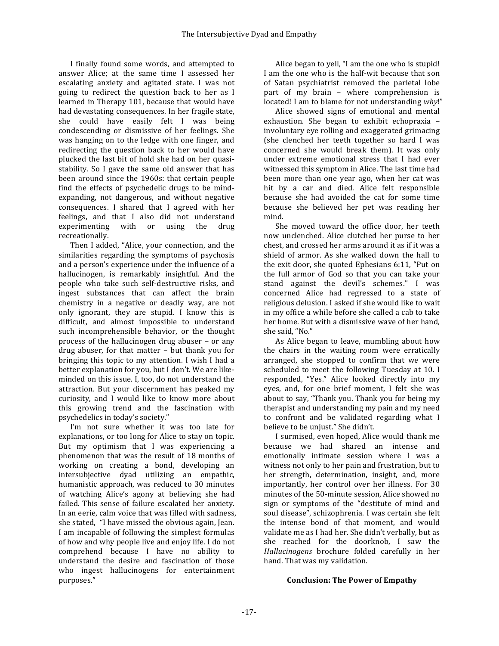I finally found some words, and attempted to answer Alice; at the same time I assessed her escalating anxiety and agitated state. I was not going to redirect the question back to her as I learned in Therapy 101, because that would have had devastating consequences. In her fragile state, she could have easily felt I was being condescending or dismissive of her feelings. She was hanging on to the ledge with one finger, and redirecting the question back to her would have plucked the last bit of hold she had on her quasistability. So I gave the same old answer that has been around since the 1960s: that certain people find the effects of psychedelic drugs to be mindexpanding, not dangerous, and without negative consequences. I shared that I agreed with her feelings, and that I also did not understand experimenting with or using the drug recreationally.

Then I added, "Alice, your connection, and the similarities regarding the symptoms of psychosis and a person's experience under the influence of a hallucinogen, is remarkably insightful. And the people who take such self-destructive risks, and ingest substances that can affect the brain chemistry in a negative or deadly way, are not only ignorant, they are stupid. I know this is difficult, and almost impossible to understand such incomprehensible behavior, or the thought process of the hallucinogen drug abuser - or any drug abuser, for that matter  $-$  but thank you for bringing this topic to my attention. I wish I had a better explanation for you, but I don't. We are likeminded on this issue. I, too, do not understand the attraction. But your discernment has peaked my curiosity, and I would like to know more about this growing trend and the fascination with psychedelics in today's society."

I'm not sure whether it was too late for explanations, or too long for Alice to stay on topic. But my optimism that I was experiencing a phenomenon that was the result of 18 months of working on creating a bond, developing an intersubjective dyad utilizing an empathic, humanistic approach, was reduced to 30 minutes of watching Alice's agony at believing she had failed. This sense of failure escalated her anxiety. In an eerie, calm voice that was filled with sadness, she stated. "I have missed the obvious again, Jean. I am incapable of following the simplest formulas of how and why people live and enjoy life. I do not comprehend because I have no ability to understand the desire and fascination of those who ingest hallucinogens for entertainment purposes."

Alice began to yell, "I am the one who is stupid! I am the one who is the half-wit because that son of Satan psychiatrist removed the parietal lobe part of  $my$  brain – where comprehension is located! I am to blame for not understanding why!"

Alice showed signs of emotional and mental exhaustion. She began to exhibit echopraxia involuntary eye rolling and exaggerated grimacing (she clenched her teeth together so hard I was concerned she would break them). It was only under extreme emotional stress that I had ever witnessed this symptom in Alice. The last time had been more than one year ago, when her cat was hit by a car and died. Alice felt responsible because she had avoided the cat for some time because she believed her pet was reading her mind.

She moved toward the office door, her teeth now unclenched. Alice clutched her purse to her chest, and crossed her arms around it as if it was a shield of armor. As she walked down the hall to the exit door, she quoted Ephesians  $6:11$ , "Put on the full armor of God so that you can take your stand against the devil's schemes." I was concerned Alice had regressed to a state of religious delusion. I asked if she would like to wait in my office a while before she called a cab to take her home. But with a dismissive wave of her hand, she said. "No."

As Alice began to leave, mumbling about how the chairs in the waiting room were erratically arranged, she stopped to confirm that we were scheduled to meet the following Tuesday at 10. I responded, "Yes." Alice looked directly into my eyes, and, for one brief moment, I felt she was about to say, "Thank you. Thank you for being my therapist and understanding my pain and my need to confront and be validated regarding what I believe to be unjust." She didn't.

I surmised, even hoped, Alice would thank me because we had shared an intense and emotionally intimate session where I was a witness not only to her pain and frustration, but to her strength, determination, insight, and, more importantly, her control over her illness. For 30 minutes of the 50-minute session. Alice showed no sign or symptoms of the "destitute of mind and soul disease", schizophrenia. I was certain she felt the intense bond of that moment, and would validate me as I had her. She didn't verbally, but as she reached for the doorknob, I saw the *Hallucinogens* brochure folded carefully in her hand. That was my validation.

### **Conclusion: The Power of Empathy**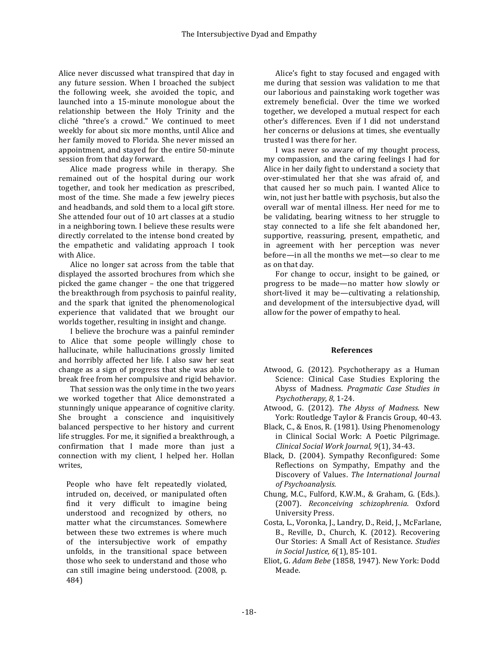Alice never discussed what transpired that day in any future session. When I broached the subject the following week, she avoided the topic, and launched into a 15-minute monologue about the relationship between the Holy Trinity and the cliché "three's a crowd." We continued to meet weekly for about six more months, until Alice and her family moved to Florida. She never missed an appointment, and stayed for the entire 50-minute session from that day forward.

Alice made progress while in therapy. She remained out of the hospital during our work together, and took her medication as prescribed, most of the time. She made a few jewelry pieces and headbands, and sold them to a local gift store. She attended four out of 10 art classes at a studio in a neighboring town. I believe these results were directly correlated to the intense bond created by the empathetic and validating approach  $I$  took with Alice.

Alice no longer sat across from the table that displayed the assorted brochures from which she picked the game changer – the one that triggered the breakthrough from psychosis to painful reality, and the spark that ignited the phenomenological experience that validated that we brought our worlds together, resulting in insight and change.

I believe the brochure was a painful reminder to Alice that some people willingly chose to hallucinate, while hallucinations grossly limited and horribly affected her life. I also saw her seat change as a sign of progress that she was able to break free from her compulsive and rigid behavior.

That session was the only time in the two years we worked together that Alice demonstrated a stunningly unique appearance of cognitive clarity. She brought a conscience and inquisitively balanced perspective to her history and current life struggles. For me, it signified a breakthrough, a confirmation that I made more than just a connection with my client, I helped her. Hollan writes,

People who have felt repeatedly violated, intruded on, deceived, or manipulated often find it very difficult to imagine being understood and recognized by others, no matter what the circumstances. Somewhere between these two extremes is where much of the intersubjective work of empathy unfolds, in the transitional space between those who seek to understand and those who can still imagine being understood. (2008, p. 484)

Alice's fight to stay focused and engaged with me during that session was validation to me that our laborious and painstaking work together was extremely beneficial. Over the time we worked together, we developed a mutual respect for each other's differences. Even if I did not understand her concerns or delusions at times, she eventually trusted I was there for her.

I was never so aware of my thought process, my compassion, and the caring feelings I had for Alice in her daily fight to understand a society that over-stimulated her that she was afraid of, and that caused her so much pain. I wanted Alice to win, not just her battle with psychosis, but also the overall war of mental illness. Her need for me to be validating, bearing witness to her struggle to stay connected to a life she felt abandoned her. supportive, reassuring, present, empathetic, and in agreement with her perception was never before—in all the months we met—so clear to me as on that day.

For change to occur, insight to be gained, or progress to be made—no matter how slowly or short-lived it may be—cultivating a relationship, and development of the intersubjective dyad, will allow for the power of empathy to heal.

### **References**

- Atwood, G. (2012). Psychotherapy as a Human Science: Clinical Case Studies Exploring the Abyss of Madness. Pragmatic Case Studies in *Psychotherapy, 8, 1-24.*
- Atwood, G. (2012). The Abyss of Madness. New York: Routledge Taylor & Francis Group, 40-43.
- Black, C., & Enos, R. (1981). Using Phenomenology in Clinical Social Work: A Poetic Pilgrimage. *Clinical Social Work Journal, 9*(1), 34-43.
- Black, D. (2004). Sympathy Reconfigured: Some Reflections on Sympathy, Empathy and the Discovery of Values. The International Journal *of Psychoanalysis*.
- Chung, M.C., Fulford, K.W.M., & Graham, G. (Eds.). (2007). *Reconceiving schizophrenia*. Oxford University Press.
- Costa, L., Voronka, J., Landry, D., Reid, J., McFarlane, B., Reville, D., Church, K. (2012). Recovering Our Stories: A Small Act of Resistance. *Studies in Social Justice, 6*(1), 85-101.
- Eliot, G. *Adam Bebe* (1858, 1947). New York: Dodd Meade.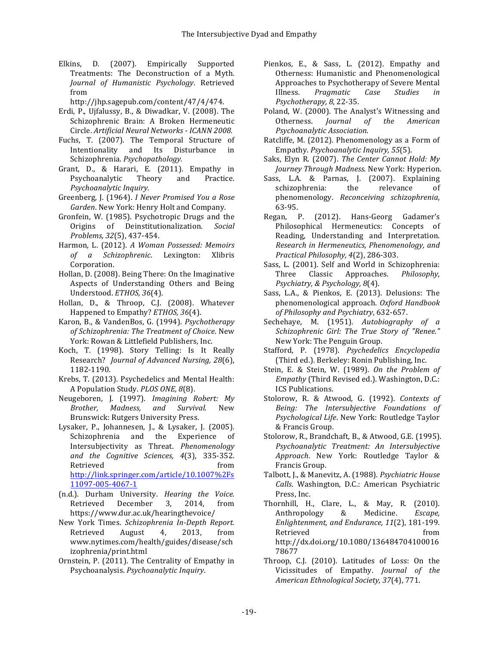Elkins, D. (2007). Empirically Supported Treatments: The Deconstruction of a Myth. *Journal of Humanistic Psychology*. Retrieved from 

http://jhp.sagepub.com/content/47/4/474.

- Erdi, P., Ujfalussy, B., & Diwadkar, V. (2008). The Schizophrenic Brain: A Broken Hermeneutic Circle. *Artificial Neural Networks - ICANN 2008.*
- Fuchs, T. (2007). The Temporal Structure of<br>Intentionality and Its Disturbance in Intentionality and Its Disturbance in Schizophrenia. *Psychopathology.*
- Grant, D., & Harari, E. (2011). Empathy in Psychoanalytic Theory and Practice. *Psychoanalytic Inquiry.*

Greenberg, J. (1964). *I Never Promised You a Rose* Garden. New York: Henry Holt and Company.

- Gronfein, W. (1985). Psychotropic Drugs and the Origins of Deinstitutionalization. *Social Problems, 32*(5), 437-454.
- Harmon, L. (2012). *A Woman Possessed: Memoirs of a Schizophrenic*. Lexington: Xlibris Corporation.
- Hollan, D. (2008). Being There: On the Imaginative Aspects of Understanding Others and Being Understood. *ETHOS, 36*(4).
- Hollan, D., & Throop, C.J. (2008). Whatever Happened to Empathy? *ETHOS, 36*(4).
- Karon, B., & VandenBos, G. (1994). *Psychotherapy of Schizophrenia: The Treatment of Choice*. New York: Rowan & Littlefield Publishers, Inc.
- Koch, T. (1998). Story Telling: Is It Really Research? *Journal of Advanced Nursing, 28*(6), 1182-1190.
- Krebs, T. (2013). Psychedelics and Mental Health: A Population Study. *PLOS ONE, 8*(8).
- Neugeboren, J. (1997). *Imagining Robert: My Brother, Madness, and Survival*. New Brunswick: Rutgers University Press.
- Lysaker, P., Johannesen, J., & Lysaker, J. (2005). Schizophrenia and the Experience of Intersubjectivity as Threat. *Phenomenology and the Cognitive Sciences, 4*(3), 335-352. Retrieved from the from http://link.springer.com/article/10.1007%2Fs 11097-005-4067-1
- (n.d.). Durham University. *Hearing the Voice.*  Retrieved December 3, 2014, from https://www.dur.ac.uk/hearingthevoice/
- New York Times. *Schizophrenia In-Depth Report.* Retrieved August 4, 2013, from www.nytimes.com/health/guides/disease/sch izophrenia/print.html
- Ornstein, P. (2011). The Centrality of Empathy in Psychoanalysis. *Psychoanalytic Inquiry*.
- Pienkos, E., & Sass, L. (2012). Empathy and Otherness: Humanistic and Phenomenological Approaches to Psychotherapy of Severe Mental Illness. *Pragmatic Case Studies* in *Psychotherapy, 8, 22-35.*
- Poland, W. (2000). The Analyst's Witnessing and Otherness. *Journal of the American Psychoanalytic Association*.
- Ratcliffe, M. (2012). Phenomenology as a Form of Empathy. *Psychoanalytic Inquiry, 55*(5).
- Saks, Elyn R. (2007). *The Center Cannot Hold: My Journey Through Madness*. New York: Hyperion.
- Sass, L.A. & Parnas, J. (2007). Explaining schizophrenia: the relevance of phenomenology. *Reconceiving schizophrenia*, 63-95.
- Regan, P. (2012). Hans-Georg Gadamer's Philosophical Hermeneutics: Concepts of Reading, Understanding and Interpretation. *Research in Hermeneutics, Phenomenology, and Practical Philosophy, 4*(2), 286-303.
- Sass, L. (2001). Self and World in Schizophrenia: Three Classic Approaches. *Philosophy, Psychiatry, & Psychology, 8*(4).
- Sass, L.A., & Pienkos, E. (2013). Delusions: The phenomenological approach. Oxford Handbook *of Philosophy and Psychiatry*, 632-657.
- Sechehaye, M. (1951). *Autobiography of a Schizophrenic Girl: The True Story of "Renee."*  New York: The Penguin Group.
- Stafford, P. (1978). *Psychedelics Encyclopedia* (Third ed.). Berkeley: Ronin Publishing, Inc.
- Stein, E. & Stein, W. (1989). On the Problem of *Empathy* (Third Revised ed.). Washington, D.C.: **ICS** Publications.
- Stolorow, R. & Atwood, G. (1992). Contexts of *Being: The Intersubjective Foundations of*  Psychological Life. New York: Routledge Taylor & Francis Group.
- Stolorow, R., Brandchaft, B., & Atwood, G.E. (1995). *Psychoanalytic Treatment: An Intersubjective Approach*. New York: Routledge Taylor & Francis Group.
- Talbott, J., & Manevitz, A. (1988). Psychiatric House Calls. Washington, D.C.: American Psychiatric Press, Inc.
- Thornhill, H., Clare, L., & May, R. (2010). Anthropology & Medicine. *Escape*, *Enlightenment, and Endurance, 11*(2), 181-199. Retrieved from **from** http://dx.doi.org/10.1080/136484704100016 78677
- Throop, C.J. (2010). Latitudes of Loss: On the Vicissitudes of Empathy. *Journal of the American Ethnological Society, 37*(4), 771.